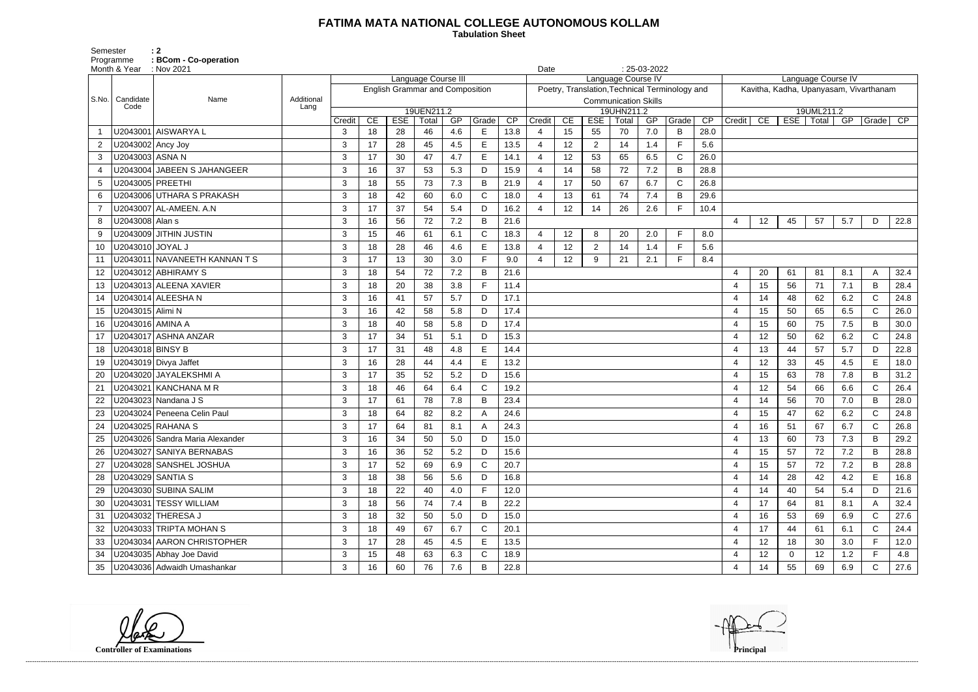## **FATIMA MATA NATIONAL COLLEGE AUTONOMOUS KOLLAM**

 **Tabulation Sheet** 

Semester : 2 Programme **: BCom - Co-operation**

|       | Month & Year : Nov 2021 |                                 |            | Date   |    |                                        |                     | $: 25-03-2022$ |       |      | Language Course IV |    |                |                                           |     |                                                |      |                                        |    |             |             |     |              |      |  |  |  |
|-------|-------------------------|---------------------------------|------------|--------|----|----------------------------------------|---------------------|----------------|-------|------|--------------------|----|----------------|-------------------------------------------|-----|------------------------------------------------|------|----------------------------------------|----|-------------|-------------|-----|--------------|------|--|--|--|
|       |                         |                                 |            |        |    |                                        | Language Course III |                |       |      |                    |    |                | Language Course IV                        |     |                                                |      | Kavitha, Kadha, Upanyasam, Vivarthanam |    |             |             |     |              |      |  |  |  |
| S.No. | Candidate               | Name                            | Additional |        |    | <b>English Grammar and Composition</b> |                     |                |       |      |                    |    |                |                                           |     | Poetry, Translation, Technical Terminology and |      |                                        |    |             |             |     |              |      |  |  |  |
|       | Code                    |                                 | Lang       |        |    |                                        | 19UEN211.2          |                |       |      |                    |    |                | <b>Communication Skills</b><br>19UHN211.2 |     |                                                |      |                                        |    |             | 19UML211.2  |     |              |      |  |  |  |
|       |                         |                                 |            | Credit | CE | <b>ESE</b>                             | Total               | GP             | Grade | CP   | Credit             | CE | <b>ESE</b>     | Total                                     | GP  | Grade                                          | CP   | Credit                                 | CE |             | ESE   Total | GP  | Grade        | CP   |  |  |  |
|       |                         | U2043001 AISWARYA L             |            | 3      | 18 | 28                                     | 46                  | 4.6            | E     | 13.8 |                    | 15 | 55             | 70                                        | 7.0 | B                                              | 28.0 |                                        |    |             |             |     |              |      |  |  |  |
|       | U2043002 Ancy Joy       |                                 |            | 3      | 17 | 28                                     | 45                  | 4.5            | E     | 13.5 |                    | 12 | 2              | 14                                        | 1.4 | $\mathsf{F}$                                   | 5.6  |                                        |    |             |             |     |              |      |  |  |  |
| 3     | U2043003 ASNA N         |                                 |            | 3      | 17 | 30                                     | 47                  | 4.7            | Е     | 14.1 |                    | 12 | 53             | 65                                        | 6.5 | $\mathsf{C}$                                   | 26.0 |                                        |    |             |             |     |              |      |  |  |  |
|       |                         | U2043004 JABEEN S JAHANGEER     |            | 3      | 16 | 37                                     | 53                  | 5.3            | D     | 15.9 |                    | 14 | 58             | 72                                        | 7.2 | B                                              | 28.8 |                                        |    |             |             |     |              |      |  |  |  |
| 5     | U2043005 PREETHI        |                                 |            | 3      | 18 | 55                                     | 73                  | 7.3            | B     | 21.9 |                    | 17 | 50             | 67                                        | 6.7 | $\mathsf{C}$                                   | 26.8 |                                        |    |             |             |     |              |      |  |  |  |
| 6     |                         | U2043006 UTHARA S PRAKASH       |            | 3      | 18 | 42                                     | 60                  | 6.0            | C     | 18.0 |                    | 13 | 61             | 74                                        | 7.4 | B                                              | 29.6 |                                        |    |             |             |     |              |      |  |  |  |
|       |                         | U2043007 AL-AMEEN. A.N          |            | 3      | 17 | 37                                     | 54                  | 5.4            | D     | 16.2 |                    | 12 | 14             | 26                                        | 2.6 | F                                              | 10.4 |                                        |    |             |             |     |              |      |  |  |  |
| 8     | U2043008 Alan s         |                                 |            | 3      | 16 | 56                                     | 72                  | 7.2            | B     | 21.6 |                    |    |                |                                           |     |                                                |      | $\overline{4}$                         | 12 | 45          | 57          | 5.7 | D            | 22.8 |  |  |  |
|       |                         | U2043009 JITHIN JUSTIN          |            | 3      | 15 | 46                                     | 61                  | 6.1            | C     | 18.3 |                    | 12 | 8              | 20                                        | 2.0 | $\mathsf{F}$                                   | 8.0  |                                        |    |             |             |     |              |      |  |  |  |
| 10    | U2043010 JOYAL J        |                                 |            | 3      | 18 | 28                                     | 46                  | 4.6            | E     | 13.8 |                    | 12 | $\overline{2}$ | 14                                        | 1.4 | $\mathsf{F}$                                   | 5.6  |                                        |    |             |             |     |              |      |  |  |  |
|       |                         | U2043011 NAVANEETH KANNAN T S   |            | 3      | 17 | 13                                     | 30                  | 3.0            |       | 9.0  |                    | 12 | 9              | 21                                        | 2.1 | F                                              | 8.4  |                                        |    |             |             |     |              |      |  |  |  |
| 12    |                         | U2043012 ABHIRAMY S             |            | 3      | 18 | 54                                     | 72                  | 7.2            | B     | 21.6 |                    |    |                |                                           |     |                                                |      | 4                                      | 20 | 61          | 81          | 8.1 | A            | 32.4 |  |  |  |
| 13    |                         | U2043013 ALEENA XAVIER          |            | 3      | 18 | 20                                     | 38                  | 3.8            | Е     | 11.4 |                    |    |                |                                           |     |                                                |      | $\overline{4}$                         | 15 | 56          | 71          | 7.1 | B            | 28.4 |  |  |  |
| 14    |                         | U2043014 ALEESHA N              |            | 3      | 16 | 41                                     | 57                  | 5.7            | D     | 17.1 |                    |    |                |                                           |     |                                                |      | $\overline{4}$                         | 14 | 48          | 62          | 6.2 | $\mathsf{C}$ | 24.8 |  |  |  |
| 15    | U2043015 Alimi N        |                                 |            | 3      | 16 | 42                                     | 58                  | 5.8            | D     | 17.4 |                    |    |                |                                           |     |                                                |      | $\overline{4}$                         | 15 | 50          | 65          | 6.5 | $\mathsf{C}$ | 26.0 |  |  |  |
| 16    | U2043016 AMINA A        |                                 |            | 3      | 18 | 40                                     | 58                  | 5.8            | D     | 17.4 |                    |    |                |                                           |     |                                                |      | $\overline{4}$                         | 15 | 60          | 75          | 7.5 | B            | 30.0 |  |  |  |
| 17    |                         | U2043017 ASHNA ANZAR            |            | 3      | 17 | 34                                     | 51                  | 5.1            | D     | 15.3 |                    |    |                |                                           |     |                                                |      | 4                                      | 12 | 50          | 62          | 6.2 | $\mathsf{C}$ | 24.8 |  |  |  |
| 18    | U2043018 BINSY B        |                                 |            | 3      | 17 | 31                                     | 48                  | 4.8            | E     | 14.4 |                    |    |                |                                           |     |                                                |      | $\overline{4}$                         | 13 | 44          | 57          | 5.7 | D            | 22.8 |  |  |  |
| 19    |                         | U2043019 Divya Jaffet           |            | 3      | 16 | 28                                     | 44                  | 4.4            | E     | 13.2 |                    |    |                |                                           |     |                                                |      | $\overline{4}$                         | 12 | 33          | 45          | 4.5 | E            | 18.0 |  |  |  |
| 20    |                         | U2043020 JAYALEKSHMI A          |            | 3      | 17 | 35                                     | 52                  | 5.2            | D     | 15.6 |                    |    |                |                                           |     |                                                |      | $\overline{4}$                         | 15 | 63          | 78          | 7.8 | B            | 31.2 |  |  |  |
|       |                         | U2043021 KANCHANA M R           |            | 3      | 18 | 46                                     | 64                  | 6.4            | C     | 19.2 |                    |    |                |                                           |     |                                                |      | $\overline{4}$                         | 12 | 54          | 66          | 6.6 | $\mathsf{C}$ | 26.4 |  |  |  |
|       |                         | U2043023 Nandana J S            |            | 3      | 17 | 61                                     | 78                  | 7.8            | B     | 23.4 |                    |    |                |                                           |     |                                                |      | 4                                      | 14 | 56          | 70          | 7.0 | B            | 28.0 |  |  |  |
| 23    |                         | U2043024 Peneena Celin Paul     |            | 3      | 18 | 64                                     | 82                  | 8.2            | А     | 24.6 |                    |    |                |                                           |     |                                                |      | $\overline{4}$                         | 15 | 47          | 62          | 6.2 | $\mathsf{C}$ | 24.8 |  |  |  |
| 24    |                         | U2043025 RAHANA S               |            | 3      | 17 | 64                                     | 81                  | 8.1            |       | 24.3 |                    |    |                |                                           |     |                                                |      | 4                                      | 16 | 51          | 67          | 6.7 | $\mathsf{C}$ | 26.8 |  |  |  |
|       |                         | U2043026 Sandra Maria Alexander |            | 3      | 16 | 34                                     | 50                  | 5.0            | D     | 15.0 |                    |    |                |                                           |     |                                                |      | 4                                      | 13 | 60          | 73          | 7.3 | B            | 29.2 |  |  |  |
| 26    |                         | U2043027 SANIYA BERNABAS        |            | 3      | 16 | 36                                     | 52                  | 5.2            | D     | 15.6 |                    |    |                |                                           |     |                                                |      | 4                                      | 15 | 57          | 72          | 7.2 | B            | 28.8 |  |  |  |
| 27    |                         | U2043028 SANSHEL JOSHUA         |            | 3      | 17 | 52                                     | 69                  | 6.9            | C     | 20.7 |                    |    |                |                                           |     |                                                |      | 4                                      | 15 | 57          | 72          | 7.2 | B            | 28.8 |  |  |  |
| 28    | U2043029 SANTIA S       |                                 |            | 3      | 18 | 38                                     | 56                  | 5.6            | D     | 16.8 |                    |    |                |                                           |     |                                                |      | 4                                      | 14 | 28          | 42          | 4.2 | E            | 16.8 |  |  |  |
| 29    |                         | U2043030 SUBINA SALIM           |            | 3      | 18 | 22                                     | 40                  | 4.0            |       | 12.0 |                    |    |                |                                           |     |                                                |      | $\overline{4}$                         | 14 | 40          | 54          | 5.4 | D            | 21.6 |  |  |  |
| 30    |                         | U2043031 TESSY WILLIAM          |            | 3      | 18 | 56                                     | 74                  | 7.4            | B     | 22.2 |                    |    |                |                                           |     |                                                |      | $\overline{4}$                         | 17 | 64          | 81          | 8.1 | A            | 32.4 |  |  |  |
| 31    |                         | U2043032 THERESA J              |            | 3      | 18 | 32                                     | 50                  | 5.0            | D     | 15.0 |                    |    |                |                                           |     |                                                |      | $\overline{4}$                         | 16 | 53          | 69          | 6.9 | $\mathsf{C}$ | 27.6 |  |  |  |
| 32    |                         | U2043033 TRIPTA MOHAN S         |            | 3      | 18 | 49                                     | 67                  | 6.7            | C     | 20.1 |                    |    |                |                                           |     |                                                |      | $\overline{4}$                         | 17 | 44          | 61          | 6.1 | $\mathsf{C}$ | 24.4 |  |  |  |
| 33    |                         | U2043034 AARON CHRISTOPHER      |            | 3      | 17 | 28                                     | 45                  | 4.5            | E     | 13.5 |                    |    |                |                                           |     |                                                |      | $\overline{4}$                         | 12 | 18          | 30          | 3.0 | F.           | 12.0 |  |  |  |
| 34    |                         | U2043035 Abhay Joe David        |            | 3      | 15 | 48                                     | 63                  | 6.3            | C     | 18.9 |                    |    |                |                                           |     |                                                |      | 4                                      | 12 | $\mathbf 0$ | 12          | 1.2 | F.           | 4.8  |  |  |  |
| 35    |                         | U2043036 Adwaidh Umashankar     |            | 3      | 16 | 60                                     | 76                  | 7.6            | B     | 22.8 |                    |    |                |                                           |     |                                                |      | 4                                      | 14 | 55          | 69          | 6.9 | $\mathsf{C}$ | 27.6 |  |  |  |

**Controller of Examinations Principal**

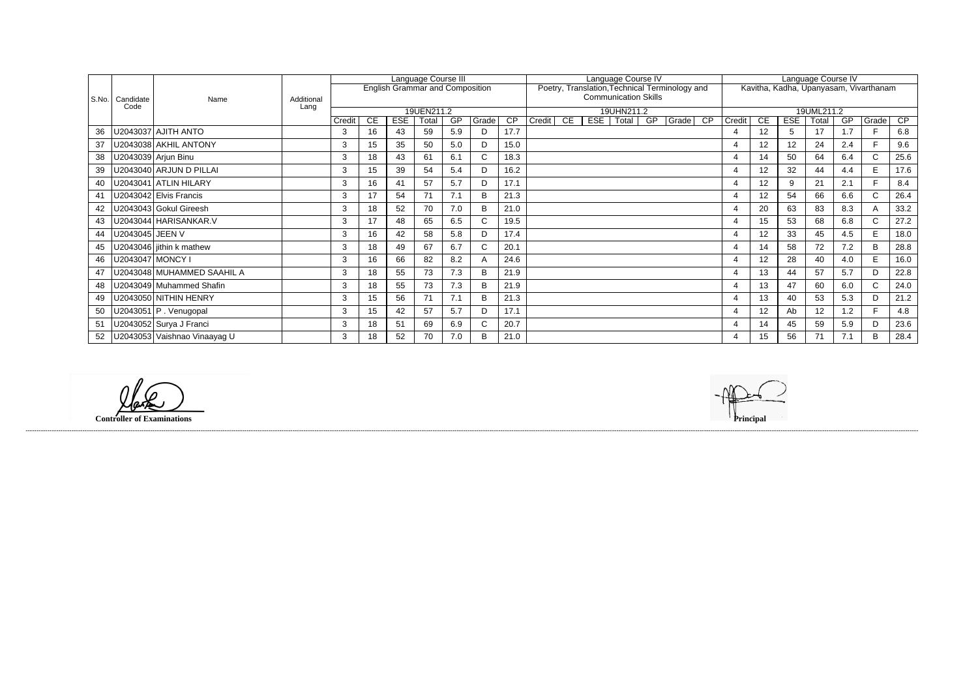|       |                   |                              |            |        |     |     | Language Course III                    |     |             |                 |        |    |     | Language Course IV          |    |                                                |    |                |           |            | Language Course IV                     |     |                |                 |
|-------|-------------------|------------------------------|------------|--------|-----|-----|----------------------------------------|-----|-------------|-----------------|--------|----|-----|-----------------------------|----|------------------------------------------------|----|----------------|-----------|------------|----------------------------------------|-----|----------------|-----------------|
|       |                   |                              |            |        |     |     | <b>English Grammar and Composition</b> |     |             |                 |        |    |     |                             |    | Poetry, Translation, Technical Terminology and |    |                |           |            | Kavitha, Kadha, Upanyasam, Vivarthanam |     |                |                 |
| S.No. | Candidate         | Name                         | Additional |        |     |     |                                        |     |             |                 |        |    |     | <b>Communication Skills</b> |    |                                                |    |                |           |            |                                        |     |                |                 |
|       | Code              |                              | Lang       |        |     |     | 19UEN211.2                             |     |             |                 |        |    |     | 19UHN211.2                  |    |                                                |    |                |           |            | 19UML211.2                             |     |                |                 |
|       |                   |                              |            | Credit | CE. | ESE | Total                                  | GP  | Grade       | $\overline{CP}$ | Credit | CE | ESE | Total                       | GP | Grade                                          | CP | Credit         | <b>CE</b> | <b>ESE</b> | Total                                  | GP  | Grade          | $\overline{CP}$ |
| 36    |                   | J2043037 AJITH ANTO          |            | 3      | 16  | 43  | 59                                     | 5.9 | D           | 17.7            |        |    |     |                             |    |                                                |    | 4              | 12        | 5          | 17                                     | 1.7 |                | 6.8             |
| 37    |                   | U2043038 AKHIL ANTONY        |            | 3      | 15  | 35  | 50                                     | 5.0 | D           | 15.0            |        |    |     |                             |    |                                                |    | $\overline{4}$ | 12        | 12         | 24                                     | 2.4 | E.             | 9.6             |
| 38    |                   | U2043039 Arjun Binu          |            | 3      | 18  | 43  | 61                                     | 6.1 | C.          | 18.3            |        |    |     |                             |    |                                                |    | $\overline{4}$ | 14        | 50         | 64                                     | 6.4 | $\mathsf{C}$   | 25.6            |
| 39    |                   | U2043040 ARJUN D PILLAI      |            | 3      | 15  | 39  | 54                                     | 5.4 |             | 16.2            |        |    |     |                             |    |                                                |    |                | 12        | 32         | 44                                     | 4.4 | E.             | 17.6            |
| 40    |                   | U2043041 ATLIN HILARY        |            | 3      | 16  | 41  | 57                                     | 5.7 |             | 17.1            |        |    |     |                             |    |                                                |    |                | 12        | 9          | 21                                     | 2.1 |                | 8.4             |
| 41    |                   | U2043042 Elvis Francis       |            | 3      | 17  | 54  | 71                                     | 7.1 | R           | 21.3            |        |    |     |                             |    |                                                |    |                | 12        | 54         | 66                                     | 6.6 | C.             | 26.4            |
| 42    |                   | J2043043 Gokul Gireesh       |            | 3      | 18  | 52  | 70                                     | 7.0 | B           | 21.0            |        |    |     |                             |    |                                                |    | $\overline{4}$ | 20        | 63         | 83                                     | 8.3 | $\overline{A}$ | 33.2            |
| 43    |                   | U2043044 HARISANKAR.V        |            | 3      | 17  | 48  | 65                                     | 6.5 |             | 19.5            |        |    |     |                             |    |                                                |    | 4              | 15        | 53         | 68                                     | 6.8 | C.             | 27.2            |
| 44    | J2043045   JEEN V |                              |            | 3      | 16  | 42  | 58                                     | 5.8 |             | 17.4            |        |    |     |                             |    |                                                |    | 4              | 12        | 33         | 45                                     | 4.5 | E.             | 18.0            |
| 45    |                   | U2043046 iithin k mathew     |            | 3      | 18  | 49  | 67                                     | 6.7 |             | 20.1            |        |    |     |                             |    |                                                |    | 4              | 14        | 58         | 72                                     | 7.2 | B              | 28.8            |
| 46    |                   | U2043047   MONCY I           |            | 3      | 16  | 66  | 82                                     | 8.2 |             | 24.6            |        |    |     |                             |    |                                                |    | 4              | 12        | 28         | 40                                     | 4.0 | E.             | 16.0            |
| 47    |                   | U2043048   MUHAMMED SAAHIL A |            | 3      | 18  | 55  | 73                                     | 7.3 | R           | 21.9            |        |    |     |                             |    |                                                |    | $\overline{4}$ | 13        | 44         | 57                                     | 5.7 | D.             | 22.8            |
| 48    |                   | U2043049 Muhammed Shafin     |            | 3      | 18  | 55  | 73                                     | 7.3 | R           | 21.9            |        |    |     |                             |    |                                                |    | $\overline{4}$ | 13        | 47         | 60                                     | 6.0 | $\mathsf{C}$   | 24.0            |
| 49    |                   | U2043050 NITHIN HENRY        |            | 3      | 15  | 56  | 71                                     | 7.1 | B           | 21.3            |        |    |     |                             |    |                                                |    | $\overline{4}$ | 13        | 40         | 53                                     | 5.3 | D.             | 21.2            |
| 50    |                   | $U2043051$ P. Venugopal      |            | 3      | 15  | 42  | 57                                     | 5.7 | D           | 17.1            |        |    |     |                             |    |                                                |    | $\overline{4}$ | 12        | Ab         | 12                                     | 1.2 |                | 4.8             |
| 51    |                   | U2043052 Surya J Franci      |            | 3      | 18  | 51  | 69                                     | 6.9 | $\sim$<br>U | 20.7            |        |    |     |                             |    |                                                |    | 4              | 14        | 45         | 59                                     | 5.9 | D.             | 23.6            |
| 52    |                   | U2043053 Vaishnao Vinaayag U |            | 3      | 18  | 52  | 70                                     | 7.0 | R           | 21.0            |        |    |     |                             |    |                                                |    |                | 15        | 56         | 71                                     | 7.1 | B              | 28.4            |

**Controller of Examinations Principal**

lak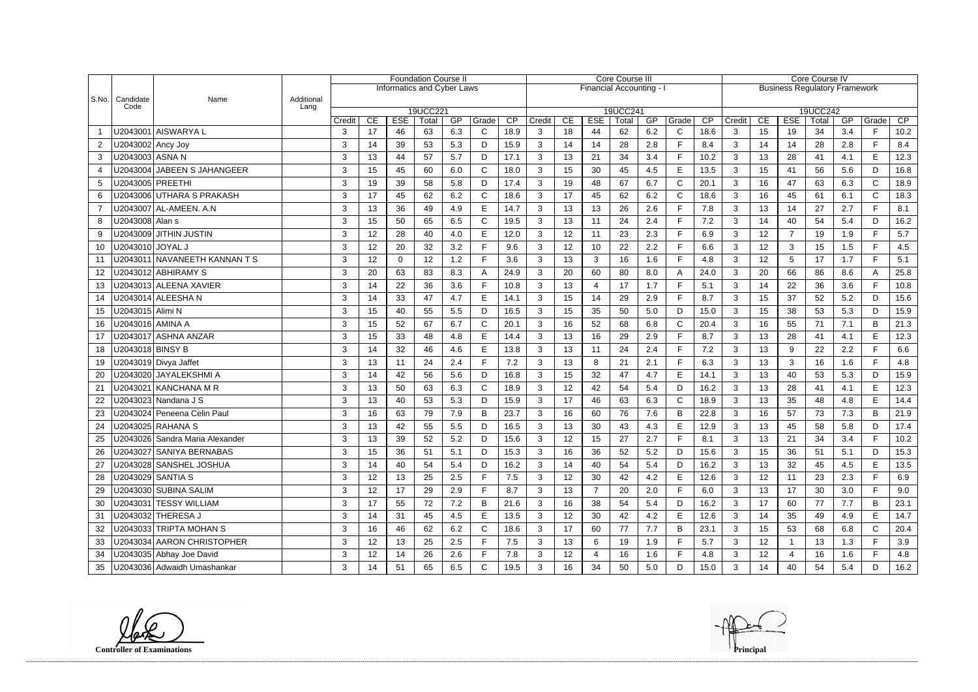|                                    |                    |                                 | <b>Foundation Course II</b> |               |                 |                                   |          |     |                |      |                |                 |                        | <b>Core Course III</b> |     |              |                                      | Core Course IV |                 |                |          |     |              |      |  |  |  |  |
|------------------------------------|--------------------|---------------------------------|-----------------------------|---------------|-----------------|-----------------------------------|----------|-----|----------------|------|----------------|-----------------|------------------------|------------------------|-----|--------------|--------------------------------------|----------------|-----------------|----------------|----------|-----|--------------|------|--|--|--|--|
| $ $ S.No. $ $<br>Candidate<br>Code |                    |                                 |                             |               |                 | <b>Informatics and Cyber Laws</b> |          |     |                |      |                |                 | Financial Accounting - |                        |     |              | <b>Business Regulatory Framework</b> |                |                 |                |          |     |              |      |  |  |  |  |
|                                    |                    | Name                            | Additional                  |               |                 |                                   |          |     |                |      |                |                 |                        |                        |     |              |                                      |                |                 |                |          |     |              |      |  |  |  |  |
|                                    |                    |                                 | Lang                        |               |                 |                                   | 19UCC221 |     |                |      |                |                 |                        | 19UCC241               |     |              |                                      |                |                 |                | 19UCC242 |     |              |      |  |  |  |  |
|                                    |                    |                                 |                             | Credit        | CE              | <b>ESE</b>                        | Total    | GP  | Grade          | CP   | Credit         | CE              | <b>ESE</b>             | Total                  | GP  | Grade        | CP                                   | Credit         | CE              | <b>ESE</b>     | Total    | GP  | Grade        | CP   |  |  |  |  |
| $\overline{1}$                     |                    | U2043001 AISWARYA L             |                             | 3             | 17              | 46                                | 63       | 6.3 | C              | 18.9 | 3              | 18              | 44                     | 62                     | 6.2 | $\mathsf{C}$ | 18.6                                 | 3              | 15              | 19             | 34       | 3.4 | F            | 10.2 |  |  |  |  |
| $\overline{2}$                     | U2043002 Ancy Joy  |                                 |                             | 3             | 14              | 39                                | 53       | 5.3 | D              | 15.9 | 3              | 14              | 14                     | 28                     | 2.8 | $\mathsf{F}$ | 8.4                                  | 3              | 14              | 14             | 28       | 2.8 | F.           | 8.4  |  |  |  |  |
| 3                                  | U2043003 ASNA N    |                                 |                             | 3             | 13              | 44                                | 57       | 5.7 | D              | 17.1 | 3              | 13              | 21                     | 34                     | 3.4 | F            | 10.2                                 | 3              | 13              | 28             | 41       | 4.1 | E            | 12.3 |  |  |  |  |
| 4                                  |                    | U2043004 JABEEN S JAHANGEER     |                             | 3             | 15              | 45                                | 60       | 6.0 | C              | 18.0 | 3              | 15              | 30                     | 45                     | 4.5 | $\mathsf E$  | 13.5                                 | $\mathbf{3}$   | 15              | 41             | 56       | 5.6 | D            | 16.8 |  |  |  |  |
| 5                                  |                    | U2043005 PREETHI                |                             | 3             | 19              | 39                                | 58       | 5.8 | D              | 17.4 | 3              | 19              | 48                     | 67                     | 6.7 | $\mathsf{C}$ | 20.1                                 | 3              | 16              | 47             | 63       | 6.3 | $\mathsf{C}$ | 18.9 |  |  |  |  |
| 6                                  |                    | U2043006 UTHARA S PRAKASH       |                             | 3             | 17              | 45                                | 62       | 6.2 | С              | 18.6 | 3              | 17              | 45                     | 62                     | 6.2 | C            | 18.6                                 | 3              | 16              | 45             | 61       | 6.1 | $\mathsf{C}$ | 18.3 |  |  |  |  |
| $\overline{7}$                     |                    | U2043007 AL-AMEEN. A.N          |                             | 3             | 13              | 36                                | 49       | 4.9 | E              | 14.7 | 3              | 13              | 13                     | 26                     | 2.6 | E            | 7.8                                  | 3              | 13              | 14             | 27       | 2.7 | F            | 8.1  |  |  |  |  |
| 8                                  | U2043008   Alan s  |                                 |                             | 3             | 15              | 50                                | 65       | 6.5 | С              | 19.5 | 3              | 13              | 11                     | 24                     | 2.4 | E            | 7.2                                  | 3              | 14              | 40             | 54       | 5.4 | D            | 16.2 |  |  |  |  |
| 9                                  |                    | U2043009 JITHIN JUSTIN          |                             | 3             | 12              | 28                                | 40       | 4.0 | E              | 12.0 | 3              | 12              | 11                     | 23                     | 2.3 | $\mathsf{F}$ | 6.9                                  | $\mathbf{3}$   | 12              | $\overline{7}$ | 19       | 1.9 | F.           | 5.7  |  |  |  |  |
| 10                                 | U2043010 JOYAL J   |                                 |                             | 3             | 12 <sub>2</sub> | 20                                | 32       | 3.2 | Е              | 9.6  | 3              | 12              | 10 <sup>°</sup>        | 22                     | 2.2 | F            | 6.6                                  | 3              | 12 <sub>2</sub> | 3              | 15       | 1.5 | F            | 4.5  |  |  |  |  |
| 11                                 |                    | U2043011 NAVANEETH KANNAN T S   |                             | 3             | 12              | 0                                 | 12       | 1.2 | $\blacksquare$ | 3.6  | 3              | 13              | 3                      | 16                     | 1.6 | F            | 4.8                                  | 3              | 12              | 5              | 17       | 1.7 | F.           | 5.1  |  |  |  |  |
| 12 <sub>2</sub>                    |                    | U2043012 ABHIRAMY S             |                             | 3             | 20              | 63                                | 83       | 8.3 |                | 24.9 | 3              | 20              | 60                     | 80                     | 8.0 | A            | 24.0                                 | 3              | 20              | 66             | 86       | 8.6 | A            | 25.8 |  |  |  |  |
|                                    |                    | U2043013 ALEENA XAVIER          |                             | 3             | 14              | 22                                | 36       | 3.6 |                | 10.8 | 3              | 13              | 4                      | 17                     | 1.7 | E            | 5.1                                  | 3              | 14              | 22             | 36       | 3.6 | F.           | 10.8 |  |  |  |  |
| 14                                 |                    | U2043014 ALEESHA N              |                             | 3             | 14              | 33                                | 47       | 4.7 | E              | 14.1 | 3              | 15              | 14                     | 29                     | 2.9 | F            | 8.7                                  | $\mathbf{3}$   | 15              | 37             | 52       | 5.2 | D            | 15.6 |  |  |  |  |
| 15                                 | U2043015 Alimi N   |                                 |                             | 3             | 15              | 40                                | 55       | 5.5 | D              | 16.5 | 3              | 15              | 35                     | 50                     | 5.0 | D            | 15.0                                 | 3              | 15              | 38             | 53       | 5.3 | D            | 15.9 |  |  |  |  |
| 16                                 | U2043016   AMINA A |                                 |                             | 3             | 15              | 52                                | 67       | 6.7 | C              | 20.1 | 3              | 16              | 52                     | 68                     | 6.8 | C            | 20.4                                 | 3              | 16              | 55             | 71       | 7.1 | B            | 21.3 |  |  |  |  |
| 17                                 |                    | U2043017 ASHNA ANZAR            |                             | 3             | 15              | 33                                | 48       | 4.8 | E              | 14.4 | 3              | 13              | 16                     | 29                     | 2.9 | E            | 8.7                                  | 3              | 13              | 28             | 41       | 4.1 | E            | 12.3 |  |  |  |  |
| 18                                 | U2043018 BINSY B   |                                 |                             | 3             | 14              | 32                                | 46       | 4.6 | E              | 13.8 | 3              | 13              | 11                     | 24                     | 2.4 | E            | 7.2                                  | 3              | 13              | 9              | 22       | 2.2 | F.           | 6.6  |  |  |  |  |
| 19                                 |                    | U2043019 Divya Jaffet           |                             | 3             | 13              | 11                                | 24       | 2.4 |                | 7.2  | 3              | 13              | 8                      | 21                     | 2.1 | $\mathsf{F}$ | 6.3                                  | $\mathbf{3}$   | 13              | 3              | 16       | 1.6 | F.           | 4.8  |  |  |  |  |
| 20                                 |                    | U2043020 JAYALEKSHMI A          |                             | 3             | 14              | 42                                | 56       | 5.6 | D              | 16.8 | 3              | 15              | 32                     | 47                     | 4.7 | E            | 14.1                                 | 3              | 13 <sup>2</sup> | 40             | 53       | 5.3 | D            | 15.9 |  |  |  |  |
| 21                                 |                    | U2043021   KANCHANA M R         |                             | 3             | 13              | 50                                | 63       | 6.3 | C              | 18.9 | 3              | 12              | 42                     | 54                     | 5.4 | D            | 16.2                                 | 3              | 13              | 28             | 41       | 4.1 | E            | 12.3 |  |  |  |  |
| 22                                 |                    | U2043023 Nandana J S            |                             | 3             | 13              | 40                                | 53       | 5.3 | D              | 15.9 | 3              | 17              | 46                     | 63                     | 6.3 | $\mathsf{C}$ | 18.9                                 | 3              | 13              | 35             | 48       | 4.8 | E            | 14.4 |  |  |  |  |
| 23                                 |                    | U2043024 Peneena Celin Paul     |                             | 3             | 16              | 63                                | 79       | 7.9 | B              | 23.7 | 3              | 16              | 60                     | 76                     | 7.6 | B            | 22.8                                 | 3              | 16              | 57             | 73       | 7.3 | B            | 21.9 |  |  |  |  |
| 24                                 |                    | U2043025 RAHANA S               |                             | 3             | 13              | 42                                | 55       | 5.5 | D              | 16.5 | 3              | 13              | 30                     | 43                     | 4.3 | $\mathsf E$  | 12.9                                 | $\sqrt{3}$     | 13              | 45             | 58       | 5.8 | D            | 17.4 |  |  |  |  |
| 25                                 |                    | U2043026 Sandra Maria Alexander |                             | $\mathcal{R}$ | 13              | 39                                | 52       | 5.2 | D.             | 15.6 | 3              | 12 <sup>°</sup> | 15                     | 27                     | 2.7 | Е            | R <sub>1</sub>                       | 3              | 13              | 21             | 34       | 3.4 | E.           | 10.2 |  |  |  |  |
| 26                                 |                    | U2043027 SANIYA BERNABAS        |                             | 3             | 15              | 36                                | 51       | 5.1 | D              | 15.3 | 3              | 16              | 36                     | 52                     | 5.2 | D            | 15.6                                 | 3              | 15              | 36             | 51       | 5.1 | D            | 15.3 |  |  |  |  |
| 27                                 |                    | U2043028 SANSHEL JOSHUA         |                             | 3             | 14              | 40                                | 54       | 5.4 | D              | 16.2 | 3              | 14              | 40                     | 54                     | 5.4 | D            | 16.2                                 | 3              | 13              | 32             | 45       | 4.5 | E            | 13.5 |  |  |  |  |
| 28                                 |                    | U2043029 SANTIA S               |                             | 3             | 12              | 13                                | 25       | 2.5 |                | 7.5  | 3              | 12              | 30                     | 42                     | 4.2 | E.           | 12.6                                 | 3              | 12              | 11             | 23       | 2.3 | F.           | 6.9  |  |  |  |  |
| 29                                 |                    | U2043030 SUBINA SALIM           |                             | 3             | 12              | 17                                | 29       | 2.9 |                | 8.7  | 3              | 13              | $\overline{7}$         | 20                     | 2.0 | $\mathsf F$  | 6.0                                  | $\mathbf{3}$   | 13              | 17             | 30       | 3.0 | F.           | 9.0  |  |  |  |  |
| 30                                 |                    | U2043031 TESSY WILLIAM          |                             | 3             | 17              | 55                                | 72       | 7.2 | B              | 21.6 | 3              | 16              | 38                     | 54                     | 5.4 | D            | 16.2                                 | 3              | 17              | 60             | 77       | 7.7 | B            | 23.1 |  |  |  |  |
| 31                                 |                    | U2043032 THERESA J              |                             | 3             | 14              | 31                                | 45       | 4.5 |                | 13.5 | 3              | 12              | 30                     | 42                     | 4.2 | Е            | 12.6                                 | 3              | 14              | 35             | 49       | 4.9 | E.           | 14.7 |  |  |  |  |
| 32                                 |                    | U2043033 TRIPTA MOHAN S         |                             | 3             | 16              | 46                                | 62       | 6.2 | C              | 18.6 | 3              | 17              | 60                     | 77                     | 7.7 | B            | 23.1                                 | 3              | 15              | 53             | 68       | 6.8 | $\mathsf{C}$ | 20.4 |  |  |  |  |
| 33                                 |                    | U2043034 AARON CHRISTOPHER      |                             | 3             | 12              | 13                                | 25       | 2.5 |                | 7.5  | 3              | 13              | 6                      | 19                     | 1.9 | F            | 5.7                                  | 3              | 12              |                | 13       | 1.3 | F.           | 3.9  |  |  |  |  |
| 34                                 |                    | U2043035 Abhay Joe David        |                             | 3             | 12              | 14                                | 26       | 2.6 |                | 7.8  | 3              | 12              |                        | 16                     | 1.6 | F.           | 4.8                                  | $\mathbf{3}$   | 12              | 4              | 16       | 1.6 | F.           | 4.8  |  |  |  |  |
| 35                                 |                    | U2043036 Adwaidh Umashankar     |                             | 3             | 14              | 51                                | 65       | 6.5 | C.             | 19.5 | 3 <sup>1</sup> | 16              | 34                     | 50                     | 5.0 | D            | 15.0                                 | 3              | 14              | 40             | 54       | 5.4 | D            | 16.2 |  |  |  |  |

**Controller of Examinations Principal**

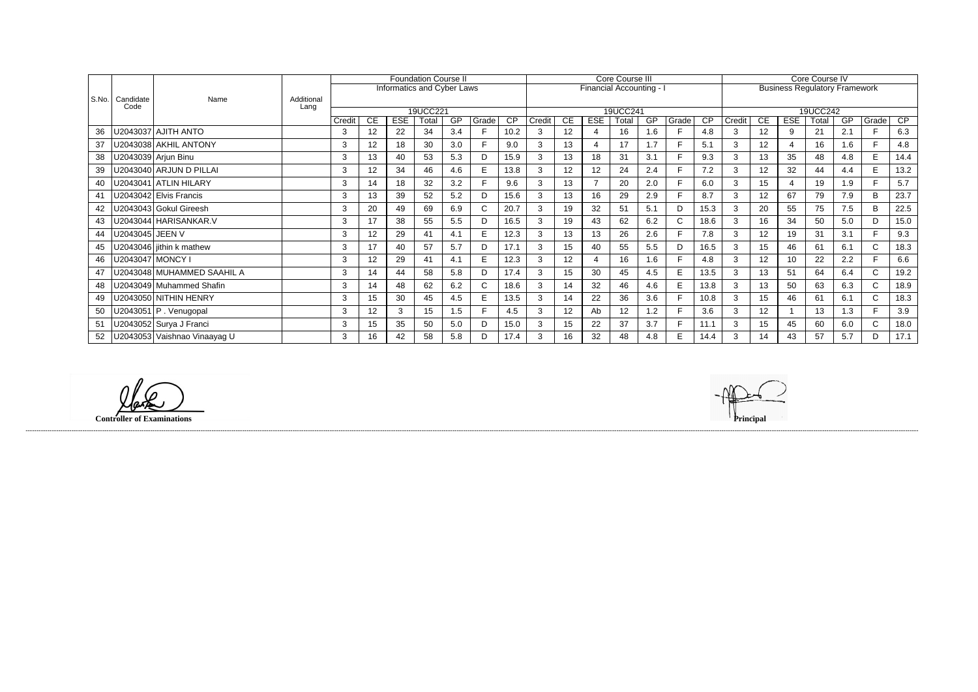|         |                   |                              |            |        |           |            | <b>Foundation Course II</b> |     |       |      |        |    |            | Core Course III          |           |              |      |        |                 |                | Core Course IV                       |     |              |      |
|---------|-------------------|------------------------------|------------|--------|-----------|------------|-----------------------------|-----|-------|------|--------|----|------------|--------------------------|-----------|--------------|------|--------|-----------------|----------------|--------------------------------------|-----|--------------|------|
|         |                   |                              |            |        |           |            | Informatics and Cyber Laws  |     |       |      |        |    |            | Financial Accounting - I |           |              |      |        |                 |                | <b>Business Regulatory Framework</b> |     |              |      |
| l S.No. | Candidate<br>Code | Name                         | Additional |        |           |            |                             |     |       |      |        |    |            |                          |           |              |      |        |                 |                |                                      |     |              |      |
|         |                   |                              | Lang       |        |           |            | 19UCC221                    |     |       |      |        |    |            | 19UCC241                 |           |              |      |        |                 |                | 19UCC242                             |     |              |      |
|         |                   |                              |            | Credit | <b>CE</b> | <b>ESE</b> | Total                       | GP  | Grade | CP   | Credit | CE | <b>ESE</b> | Total                    | <b>GP</b> | Grade        | CP   | Credit | <b>CE</b>       | <b>ESE</b>     | Гоtal                                | GP  | Grade        | CP   |
| 36      |                   | J2043037 AJITH ANTO          |            | 3      | 12        | 22         | 34                          | 3.4 |       | 10.2 |        | 12 |            | 16                       | 1.6       | F            | 4.8  | 3      | 12 <sub>2</sub> | 9              | 21                                   | 2.1 |              | 6.3  |
| 37      |                   | U2043038 AKHIL ANTONY        |            | 3      | 12        | 18         | 30                          | 3.0 |       | 9.0  | 3      | 13 |            | 17                       | 1.7       | Е            | 5.1  | 3      | 12 <sub>2</sub> | $\overline{4}$ | 16                                   | 1.6 | E            | 4.8  |
| 38      |                   | U2043039 Arjun Binu          |            | 3      | 13        | 40         | 53                          | 5.3 | D     | 15.9 | 3      | 13 | 18         | 31                       | 3.1       | Е            | 9.3  | 3      | 13              | 35             | 48                                   | 4.8 | E            | 14.4 |
| 39      |                   | U2043040 ARJUN D PILLAI      |            | 3      | 12        | 34         | 46                          | 4.6 |       | 13.8 | 3      | 12 | 12         | 24                       | 2.4       |              | 7.2  | 3      | 12              | 32             | 44                                   | 4.4 | E            | 13.2 |
| 40      |                   | J2043041 ATLIN HILARY        |            | 3      | 14        | 18         | 32                          | 3.2 |       | 9.6  | 3      | 13 |            | 20                       | 2.0       | E            | 6.0  | 3      | 15              | $\overline{4}$ | 19                                   | 1.9 | F.           | 5.7  |
| 41      |                   | U2043042 Elvis Francis       |            | 3      | 13        | 39         | 52                          | 5.2 | D     | 15.6 | 3      | 13 | 16         | 29                       | 2.9       | E            | 8.7  | 3      | 12 <sub>2</sub> | 67             | 79                                   | 7.9 | B            | 23.7 |
| 42      |                   | J2043043 Gokul Gireesh       |            | 3      | 20        | 49         | 69                          | 6.9 | C.    | 20.7 | 3      | 19 | 32         | 51                       | 5.1       | D            | 15.3 | 3      | 20              | 55             | 75                                   | 7.5 | B            | 22.5 |
|         |                   | U2043044 HARISANKAR.V        |            | 3      | 17        | 38         | 55                          | 5.5 |       | 16.5 | 3      | 19 | 43         | 62                       | 6.2       | $\mathsf{C}$ | 18.6 | 3      | 16              | 34             | 50                                   | 5.0 | D            | 15.0 |
| 44      | J2043045   JEEN V |                              |            | 3      | 12        | 29         | 41                          | 4.1 | E.    | 12.3 | 3      | 13 | 13         | 26                       | 2.6       | F            | 7.8  | 3      | 12 <sub>2</sub> | 19             | 31                                   | 3.1 | E            | 9.3  |
| 45      |                   | U2043046 jithin k mathew     |            | 3      | 17        | 40         | 57                          | 5.7 | D     | 17.1 | 3      | 15 | 40         | 55                       | 5.5       | D            | 16.5 | 3      | 15 <sub>1</sub> | 46             | 61                                   | 6.1 | C.           | 18.3 |
| 46      |                   | J2043047   MONCY I           |            | 3      | 12        | 29         | 41                          | 4.1 | E     | 12.3 |        | 12 |            | 16                       | 1.6       |              | 4.8  | 3      | 12 <sup>°</sup> | 10             | 22                                   | 2.2 |              | 6.6  |
| 47      |                   | U2043048 MUHAMMED SAAHIL A   |            | 3      | 14        | 44         | 58                          | 5.8 | D     | 17.4 |        | 15 | 30         | 45                       | 4.5       | E.           | 13.5 | 3      | 13              | 51             | 64                                   | 6.4 | $\mathsf{C}$ | 19.2 |
| 48      |                   | U2043049 Muhammed Shafin     |            | 3      | 14        | 48         | 62                          | 6.2 | ⌒     | 18.6 |        | 14 | 32         | 46                       | 4.6       | E            | 13.8 | 3      | 13              | 50             | 63                                   | 6.3 | $\mathsf{C}$ | 18.9 |
| 49      |                   | J2043050 NITHIN HENRY        |            | 3      | 15        | 30         | 45                          | 4.5 | E.    | 13.5 | 3      | 14 | 22         | 36                       | 3.6       | E            | 10.8 | 3      | 15 <sub>1</sub> | 46             | 61                                   | 6.1 | $\mathsf{C}$ | 18.3 |
| 50      |                   | U2043051 P . Venugopal       |            | 3      | 12        | 3          | 15                          | 1.5 |       | 4.5  | 3      | 12 | Ab         | 12                       | 1.2       |              | 3.6  | 3      | 12 <sup>°</sup> |                | 13                                   | 1.3 | F.           | 3.9  |
| 51      |                   | U2043052 Surya J Franci      |            | 3      | 15        | 35         | 50                          | 5.0 | D     | 15.0 | 3      | 15 | 22         | 37                       | 3.7       | Е            | 11.1 | 3      | 15 <sub>1</sub> | 45             | 60                                   | 6.0 | $\mathsf{C}$ | 18.0 |
| 52      |                   | U2043053 Vaishnao Vinaayag U |            | 3      | 16        | 42         | 58                          | 5.8 |       | 17.4 | 3      | 16 | 32         | 48                       | 4.8       | E            | 14.4 | 3      | 14              | 43             | 57                                   | 5.7 | D            | 17.1 |

**Controller of Examinations Principal**

llake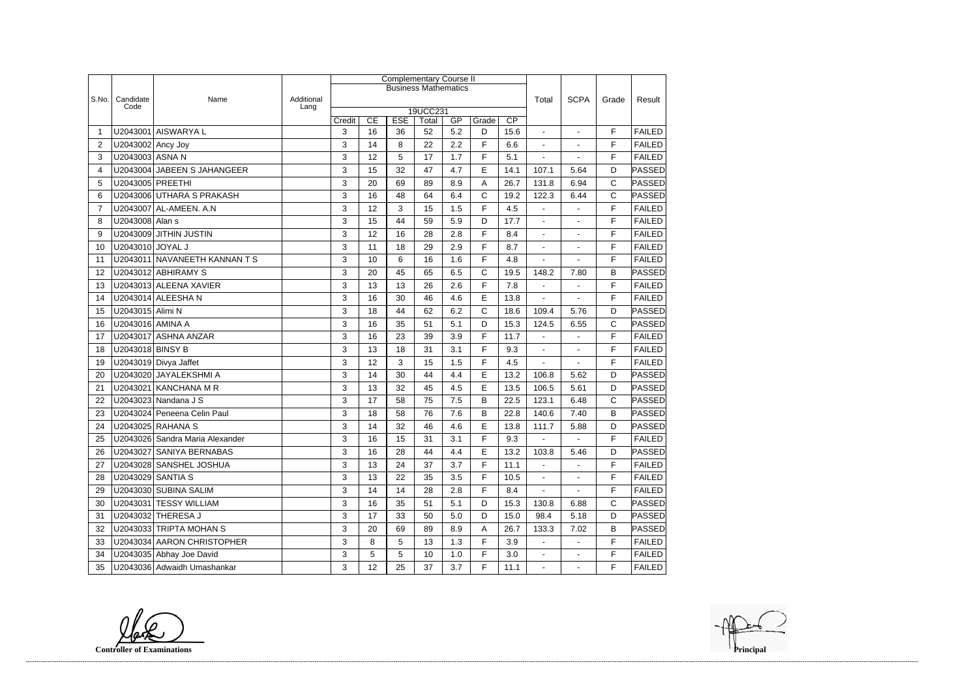|                |                   |                                 |                    |        |    |                 | <b>Complementary Course II</b> |     |             |      |                          |                          |              |               |
|----------------|-------------------|---------------------------------|--------------------|--------|----|-----------------|--------------------------------|-----|-------------|------|--------------------------|--------------------------|--------------|---------------|
|                |                   |                                 |                    |        |    |                 | <b>Business Mathematics</b>    |     |             |      |                          |                          |              |               |
| S.No.          | Candidate<br>Code | Name                            | Additional<br>Lang |        |    |                 |                                |     |             |      | Total                    | <b>SCPA</b>              | Grade        | Result        |
|                |                   |                                 |                    | Credit | CE | <b>ESE</b>      | 19UCC231<br>Total              | GP  | Grade       | CP   |                          |                          |              |               |
| -1             |                   | U2043001 AISWARYA L             |                    | 3      | 16 | 36              | 52                             | 5.2 | D           | 15.6 | $\sim$                   | $\mathbf{r}$             | F            | <b>FAILED</b> |
| $\overline{2}$ | U2043002 Ancy Joy |                                 |                    | 3      | 14 | 8               | 22                             | 2.2 | F           | 6.6  | $\blacksquare$           | $\blacksquare$           | F            | <b>FAILED</b> |
| 3              | U2043003 ASNA N   |                                 |                    | 3      | 12 | 5               | 17                             | 1.7 | F           | 5.1  |                          |                          | F            | <b>FAILED</b> |
| 4              |                   | U2043004 JABEEN S JAHANGEER     |                    | 3      | 15 | 32              | 47                             | 4.7 | E           | 14.1 | 107.1                    | 5.64                     | D            | PASSED        |
| 5              | U2043005 PREETHI  |                                 |                    | 3      | 20 | 69              | 89                             | 8.9 | A           | 26.7 | 131.8                    | 6.94                     | C            | PASSED        |
| 6              |                   | U2043006 UTHARA S PRAKASH       |                    | 3      | 16 | 48              | 64                             | 6.4 | $\mathsf C$ | 19.2 | 122.3                    | 6.44                     | $\mathsf{C}$ | PASSED        |
| $\overline{7}$ |                   | U2043007 AL-AMEEN. A.N          |                    | 3      | 12 | 3               | 15                             | 1.5 | F           | 4.5  | $\blacksquare$           | $\blacksquare$           | F            | <b>FAILED</b> |
| 8              | U2043008 Alan s   |                                 |                    | 3      | 15 | 44              | 59                             | 5.9 | D           | 17.7 | $\blacksquare$           | $\sim$                   | F            | <b>FAILED</b> |
| 9              |                   | U2043009 JITHIN JUSTIN          |                    | 3      | 12 | 16              | 28                             | 2.8 | F           | 8.4  | $\overline{\phantom{a}}$ | $\blacksquare$           | F            | <b>FAILED</b> |
| 10             | U2043010 JOYAL J  |                                 |                    | 3      | 11 | 18              | 29                             | 2.9 | F           | 8.7  | $\blacksquare$           |                          | F            | <b>FAILED</b> |
| 11             |                   | U2043011 NAVANEETH KANNAN T S   |                    | 3      | 10 | $6\phantom{1}6$ | 16                             | 1.6 | F           | 4.8  |                          |                          | F            | <b>FAILED</b> |
| 12             |                   | U2043012 ABHIRAMY S             |                    | 3      | 20 | 45              | 65                             | 6.5 | C           | 19.5 | 148.2                    | 7.80                     | B            | <b>PASSED</b> |
| 13             |                   | U2043013 ALEENA XAVIER          |                    | 3      | 13 | 13              | 26                             | 2.6 | F           | 7.8  |                          |                          | F            | <b>FAILED</b> |
| 14             |                   | U2043014 ALEESHA N              |                    | 3      | 16 | 30              | 46                             | 4.6 | E           | 13.8 |                          |                          | F            | <b>FAILED</b> |
| 15             | U2043015 Alimi N  |                                 |                    | 3      | 18 | 44              | 62                             | 6.2 | C           | 18.6 | 109.4                    | 5.76                     | D            | <b>PASSED</b> |
| 16             | U2043016 AMINA A  |                                 |                    | 3      | 16 | 35              | 51                             | 5.1 | D           | 15.3 | 124.5                    | 6.55                     | $\mathsf C$  | PASSED        |
| 17             |                   | U2043017 ASHNA ANZAR            |                    | 3      | 16 | 23              | 39                             | 3.9 | F           | 11.7 | $\blacksquare$           | $\blacksquare$           | F            | <b>FAILED</b> |
| 18             | U2043018 BINSY B  |                                 |                    | 3      | 13 | 18              | 31                             | 3.1 | F           | 9.3  | $\blacksquare$           | $\sim$                   | F            | <b>FAILED</b> |
| 19             |                   | U2043019 Divya Jaffet           |                    | 3      | 12 | 3               | 15                             | 1.5 | F           | 4.5  |                          |                          | F            | <b>FAILED</b> |
| 20             |                   | U2043020 JAYALEKSHMI A          |                    | 3      | 14 | 30              | 44                             | 4.4 | E           | 13.2 | 106.8                    | 5.62                     | D            | <b>PASSED</b> |
| 21             |                   | U2043021 KANCHANA M R           |                    | 3      | 13 | 32              | 45                             | 4.5 | E           | 13.5 | 106.5                    | 5.61                     | D            | PASSED        |
| 22             |                   | U2043023 Nandana J S            |                    | 3      | 17 | 58              | 75                             | 7.5 | B           | 22.5 | 123.1                    | 6.48                     | $\mathsf{C}$ | PASSED        |
| 23             |                   | U2043024 Peneena Celin Paul     |                    | 3      | 18 | 58              | 76                             | 7.6 | В           | 22.8 | 140.6                    | 7.40                     | B            | PASSED        |
| 24             |                   | U2043025 RAHANA S               |                    | 3      | 14 | 32              | 46                             | 4.6 | E           | 13.8 | 111.7                    | 5.88                     | D            | PASSED        |
| 25             |                   | U2043026 Sandra Maria Alexander |                    | 3      | 16 | 15              | 31                             | 3.1 | F           | 9.3  |                          | $\overline{\phantom{a}}$ | F            | <b>FAILED</b> |
| 26             |                   | U2043027 SANIYA BERNABAS        |                    | 3      | 16 | 28              | 44                             | 4.4 | E           | 13.2 | 103.8                    | 5.46                     | D            | <b>PASSED</b> |
| 27             |                   | U2043028 SANSHEL JOSHUA         |                    | 3      | 13 | 24              | 37                             | 3.7 | F           | 11.1 | $\blacksquare$           | $\blacksquare$           | F            | <b>FAILED</b> |
| 28             |                   | U2043029 SANTIA S               |                    | 3      | 13 | 22              | 35                             | 3.5 | F           | 10.5 | $\blacksquare$           |                          | F            | <b>FAILED</b> |
| 29             |                   | U2043030 SUBINA SALIM           |                    | 3      | 14 | 14              | 28                             | 2.8 | F           | 8.4  | $\blacksquare$           | $\overline{a}$           | F            | <b>FAILED</b> |
| 30             |                   | U2043031 TESSY WILLIAM          |                    | 3      | 16 | 35              | 51                             | 5.1 | D           | 15.3 | 130.8                    | 6.88                     | С            | PASSED        |
| 31             |                   | U2043032 THERESA J              |                    | 3      | 17 | 33              | 50                             | 5.0 | D           | 15.0 | 98.4                     | 5.18                     | D            | PASSED        |
| 32             |                   | U2043033 TRIPTA MOHAN S         |                    | 3      | 20 | 69              | 89                             | 8.9 | A           | 26.7 | 133.3                    | 7.02                     | B            | PASSED        |
| 33             |                   | U2043034 AARON CHRISTOPHER      |                    | 3      | 8  | 5               | 13                             | 1.3 | F           | 3.9  |                          |                          | F            | <b>FAILED</b> |
| 34             |                   | U2043035 Abhay Joe David        |                    | 3      | 5  | 5               | 10                             | 1.0 | F           | 3.0  | $\blacksquare$           | $\blacksquare$           | F            | <b>FAILED</b> |
| 35             |                   | U2043036 Adwaidh Umashankar     |                    | 3      | 12 | 25              | 37                             | 3.7 | F           | 11.1 | $\blacksquare$           | $\blacksquare$           | F            | <b>FAILED</b> |

**Controller of Examinations**